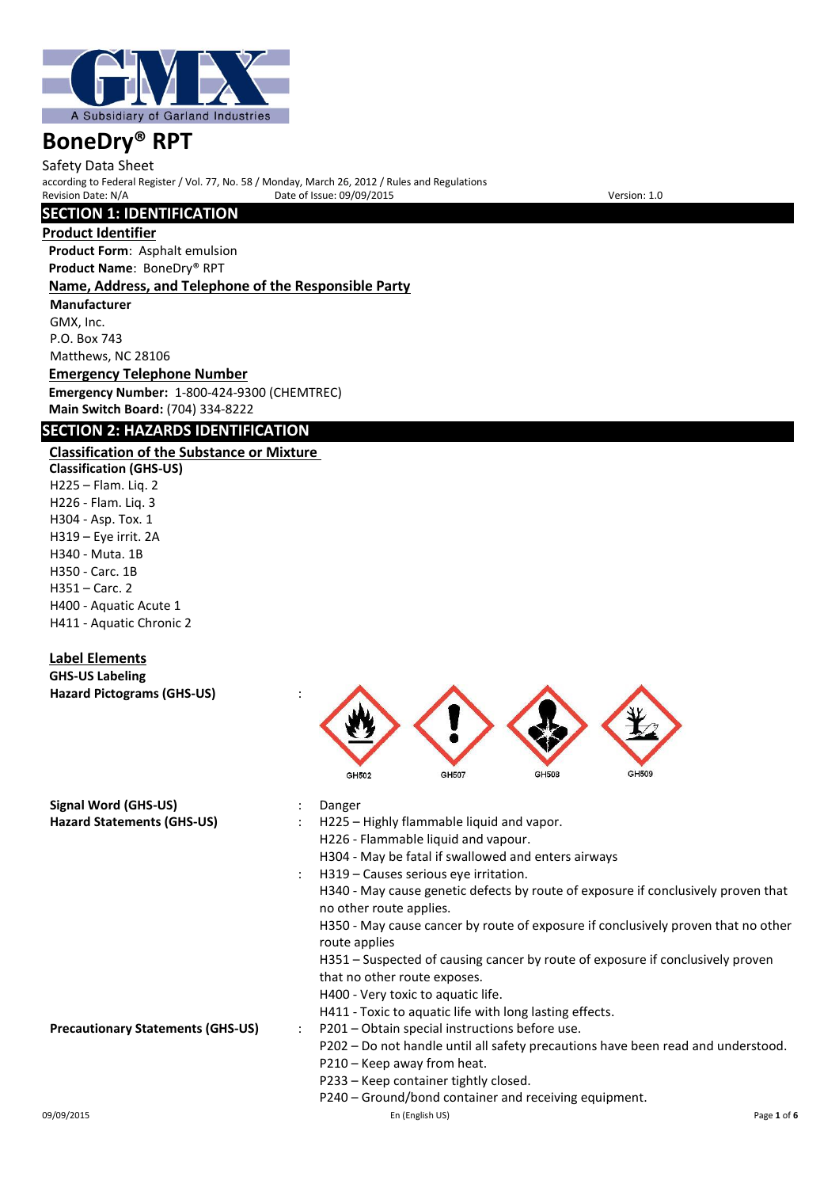

Safety Data Sheet according to Federal Register / Vol. 77, No. 58 / Monday, March 26, 2012 / Rules and Regulations Provide of Issue: 09/09/2015

## **SECTION 1: IDENTIFICATION**

### **Product Identifier**

**Product Form**: Asphalt emulsion **Product Name**: BoneDry® RPT **Name, Address, and Telephone of the Responsible Party Manufacturer** GMX, Inc. P.O. Box 743 Matthews, NC 28106

**Emergency Telephone Number Emergency Number:** 1-800-424-9300 (CHEMTREC) **Main Switch Board:** (704) 334-8222

## **SECTION 2: HAZARDS IDENTIFICATION**

# **Classification of the Substance or Mixture**

**Classification (GHS-US)** H225 – Flam. Liq. 2 H226 - Flam. Liq. 3 H304 - Asp. Tox. 1 H319 – Eye irrit. 2A H340 - Muta. 1B H350 - Carc. 1B H351 – Carc. 2 H400 - Aquatic Acute 1 H411 - Aquatic Chronic 2

# **Label Elements**

**GHS-US Labeling Hazard Pictograms (GHS-US)** :



| Signal Word (GHS-US)                     |                      | Danger                                                                                                       |  |
|------------------------------------------|----------------------|--------------------------------------------------------------------------------------------------------------|--|
| <b>Hazard Statements (GHS-US)</b>        |                      | H225 – Highly flammable liquid and vapor.                                                                    |  |
|                                          |                      | H226 - Flammable liquid and vapour.                                                                          |  |
|                                          |                      | H304 - May be fatal if swallowed and enters airways                                                          |  |
|                                          |                      | H319 – Causes serious eye irritation.                                                                        |  |
|                                          |                      | H340 - May cause genetic defects by route of exposure if conclusively proven that<br>no other route applies. |  |
|                                          |                      | H350 - May cause cancer by route of exposure if conclusively proven that no other<br>route applies           |  |
|                                          |                      | H351 – Suspected of causing cancer by route of exposure if conclusively proven                               |  |
|                                          |                      | that no other route exposes.                                                                                 |  |
|                                          |                      | H400 - Very toxic to aquatic life.                                                                           |  |
|                                          |                      | H411 - Toxic to aquatic life with long lasting effects.                                                      |  |
| <b>Precautionary Statements (GHS-US)</b> | $\ddot{\phantom{0}}$ | P201 - Obtain special instructions before use.                                                               |  |
|                                          |                      | P202 – Do not handle until all safety precautions have been read and understood.                             |  |
|                                          |                      | P210 - Keep away from heat.                                                                                  |  |
|                                          |                      | P233 – Keep container tightly closed.                                                                        |  |
|                                          |                      | P240 - Ground/bond container and receiving equipment.                                                        |  |
| 09/09/2015                               |                      | En (English US)<br>Page 1 of 6                                                                               |  |
|                                          |                      |                                                                                                              |  |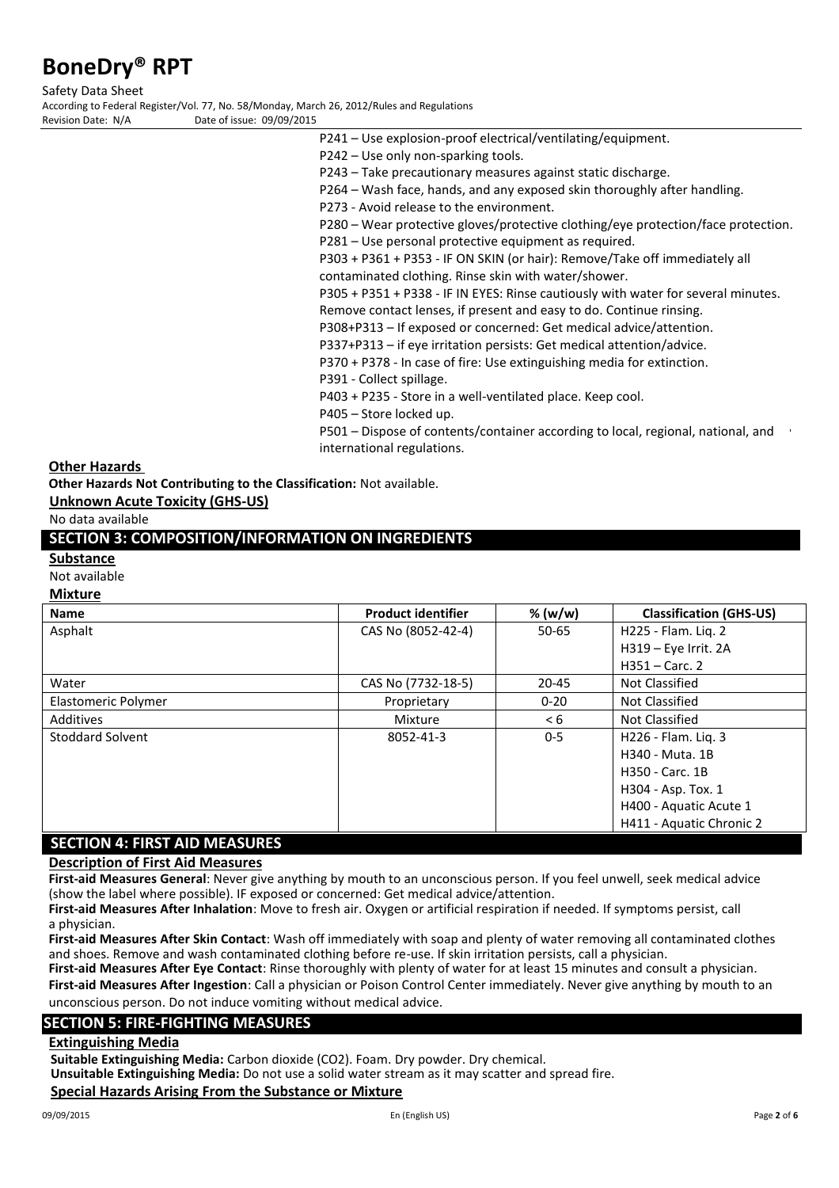Safety Data Sheet

According to Federal Register/Vol. 77, No. 58/Monday, March 26, 2012/Rules and Regulations Date of issue: 09/09/2015

P241 – Use explosion-proof electrical/ventilating/equipment.

P242 – Use only non-sparking tools.

P243 – Take precautionary measures against static discharge.

P264 – Wash face, hands, and any exposed skin thoroughly after handling.

P273 - Avoid release to the environment.

P280 – Wear protective gloves/protective clothing/eye protection/face protection.

P281 – Use personal protective equipment as required.

P303 + P361 + P353 - IF ON SKIN (or hair): Remove/Take off immediately all contaminated clothing. Rinse skin with water/shower.

P305 + P351 + P338 - IF IN EYES: Rinse cautiously with water for several minutes. Remove contact lenses, if present and easy to do. Continue rinsing.

P308+P313 – If exposed or concerned: Get medical advice/attention.

P337+P313 – if eye irritation persists: Get medical attention/advice.

P370 + P378 - In case of fire: Use extinguishing media for extinction.

P391 - Collect spillage.

P403 + P235 - Store in a well-ventilated place. Keep cool.

P405 – Store locked up.

P501 – Dispose of contents/container according to local, regional, national, and international regulations.

### **Other Hazards**

**Other Hazards Not Contributing to the Classification:** Not available.

**Unknown Acute Toxicity (GHS-US)**

No data available

## **SECTION 3: COMPOSITION/INFORMATION ON INGREDIENTS**

### **Substance**

Not available

### **Mixture**

| <b>Name</b>                          | <b>Product identifier</b> | % (w/w)  | <b>Classification (GHS-US)</b> |
|--------------------------------------|---------------------------|----------|--------------------------------|
| Asphalt                              | CAS No (8052-42-4)        | 50-65    | H225 - Flam. Lig. 2            |
|                                      |                           |          | H319 - Eye Irrit. 2A           |
|                                      |                           |          | $H351 - Carc.$ 2               |
| Water                                | CAS No (7732-18-5)        | 20-45    | Not Classified                 |
| Elastomeric Polymer                  | Proprietary               | $0 - 20$ | Not Classified                 |
| Additives                            | Mixture                   | < 6      | Not Classified                 |
| Stoddard Solvent                     | 8052-41-3                 | $0 - 5$  | H226 - Flam. Lig. 3            |
|                                      |                           |          | H340 - Muta, 1B                |
|                                      |                           |          | H350 - Carc. 1B                |
|                                      |                           |          | H304 - Asp. Tox. 1             |
|                                      |                           |          | H400 - Aquatic Acute 1         |
|                                      |                           |          | H411 - Aquatic Chronic 2       |
| <b>SECTION 4: FIRST AID MEASURES</b> |                           |          |                                |

**Description of First Aid Measures**

**First-aid Measures General**: Never give anything by mouth to an unconscious person. If you feel unwell, seek medical advice (show the label where possible). IF exposed or concerned: Get medical advice/attention.

**First-aid Measures After Inhalation**: Move to fresh air. Oxygen or artificial respiration if needed. If symptoms persist, call a physician.

**First-aid Measures After Skin Contact**: Wash off immediately with soap and plenty of water removing all contaminated clothes and shoes. Remove and wash contaminated clothing before re-use. If skin irritation persists, call a physician.

**First-aid Measures After Eye Contact**: Rinse thoroughly with plenty of water for at least 15 minutes and consult a physician. **First-aid Measures After Ingestion**: Call a physician or Poison Control Center immediately. Never give anything by mouth to an unconscious person. Do not induce vomiting without medical advice.

### **SECTION 5: FIRE-FIGHTING MEASURES**

### **Extinguishing Media**

**Suitable Extinguishing Media:** Carbon dioxide (CO2). Foam. Dry powder. Dry chemical.

**Unsuitable Extinguishing Media:** Do not use a solid water stream as it may scatter and spread fire.

### **Special Hazards Arising From the Substance or Mixture**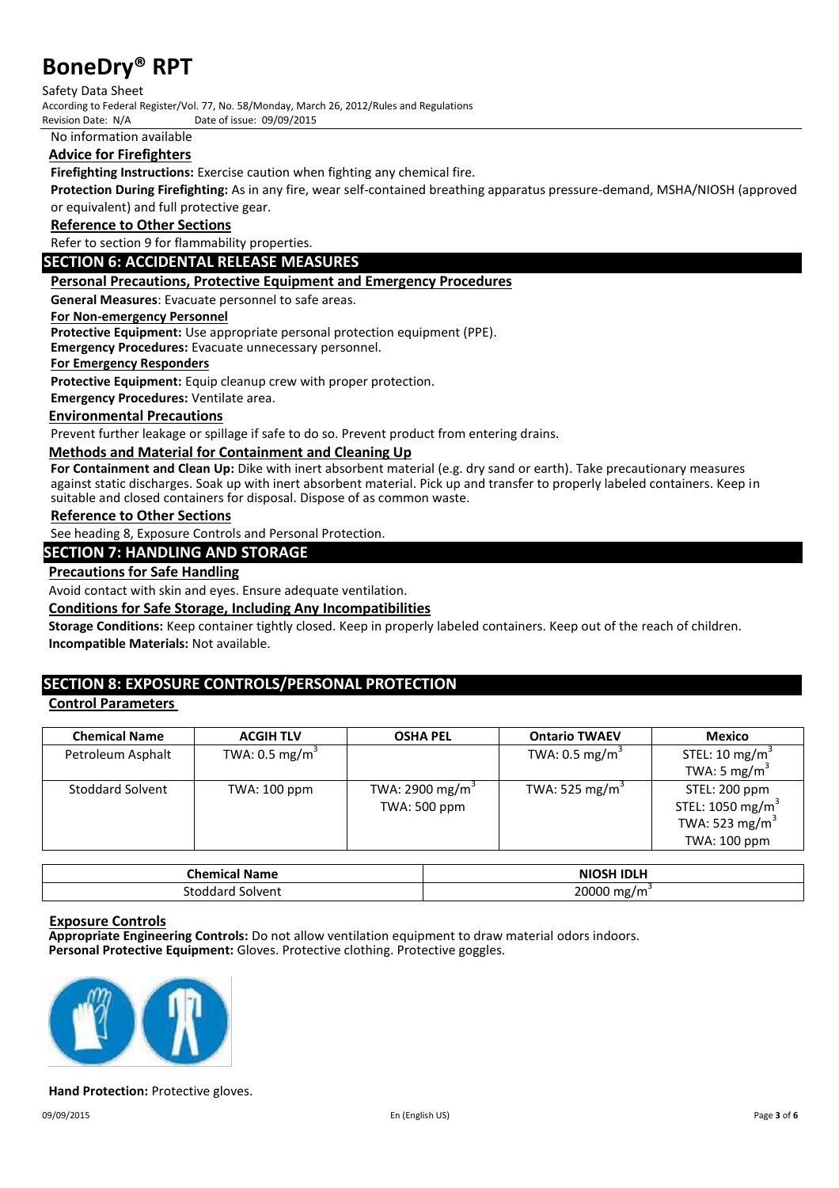Safety Data Sheet

According to Federal Register/Vol. 77, No. 58/Monday, March 26, 2012/Rules and Regulations<br>Revision Date: N/A<br>Date of issue: 09/09/2015

Date of issue: 09/09/2015

No information available

## **Advice for Firefighters**

**Firefighting Instructions:** Exercise caution when fighting any chemical fire.

**Protection During Firefighting:** As in any fire, wear self-contained breathing apparatus pressure-demand, MSHA/NIOSH (approved or equivalent) and full protective gear.

### **Reference to Other Sections**

Refer to section 9 for flammability properties.

### **SECTION 6: ACCIDENTAL RELEASE MEASURES**

### **Personal Precautions, Protective Equipment and Emergency Procedures**

**General Measures**: Evacuate personnel to safe areas.

### **For Non-emergency Personnel**

**Protective Equipment:** Use appropriate personal protection equipment (PPE).

**Emergency Procedures:** Evacuate unnecessary personnel.

### **For Emergency Responders**

**Protective Equipment:** Equip cleanup crew with proper protection.

**Emergency Procedures:** Ventilate area.

### **Environmental Precautions**

Prevent further leakage or spillage if safe to do so. Prevent product from entering drains.

### **Methods and Material for Containment and Cleaning Up**

**For Containment and Clean Up:** Dike with inert absorbent material (e.g. dry sand or earth). Take precautionary measures against static discharges. Soak up with inert absorbent material. Pick up and transfer to properly labeled containers. Keep in suitable and closed containers for disposal. Dispose of as common waste.

### **Reference to Other Sections**

See heading 8, Exposure Controls and Personal Protection.

### **SECTION 7: HANDLING AND STORAGE**

### **Precautions for Safe Handling**

Avoid contact with skin and eyes. Ensure adequate ventilation.

### **Conditions for Safe Storage, Including Any Incompatibilities**

**Storage Conditions:** Keep container tightly closed. Keep in properly labeled containers. Keep out of the reach of children. **Incompatible Materials:** Not available.

# **SECTION 8: EXPOSURE CONTROLS/PERSONAL PROTECTION**

### **Control Parameters**

| <b>Chemical Name</b>    | <b>ACGIH TLV</b>          | <b>OSHA PEL</b>             | <b>Ontario TWAEV</b>       | <b>Mexico</b>                |
|-------------------------|---------------------------|-----------------------------|----------------------------|------------------------------|
| Petroleum Asphalt       | TWA: $0.5 \text{ mg/m}^3$ |                             | TWA: $0.5 \text{ mg/m}^3$  | STEL: 10 mg/m <sup>3</sup>   |
|                         |                           |                             |                            | TWA: 5 mg/m <sup>3</sup>     |
| <b>Stoddard Solvent</b> | TWA: 100 ppm              | TWA: 2900 mg/m <sup>3</sup> | TWA: 525 mg/m <sup>3</sup> | STEL: 200 ppm                |
|                         |                           | TWA: 500 ppm                |                            | STEL: 1050 mg/m <sup>3</sup> |
|                         |                           |                             |                            | TWA: 523 mg/m <sup>3</sup>   |
|                         |                           |                             |                            | TWA: 100 ppm                 |

| :hemical<br><b>Name</b> | <b>NIOSH IDLH</b> |
|-------------------------|-------------------|
| Solvent                 | 20000             |
| паго                    | $m\sigma$ .       |

### **Exposure Controls**

**Appropriate Engineering Controls:** Do not allow ventilation equipment to draw material odors indoors. **Personal Protective Equipment:** Gloves. Protective clothing. Protective goggles.



### **Hand Protection:** Protective gloves.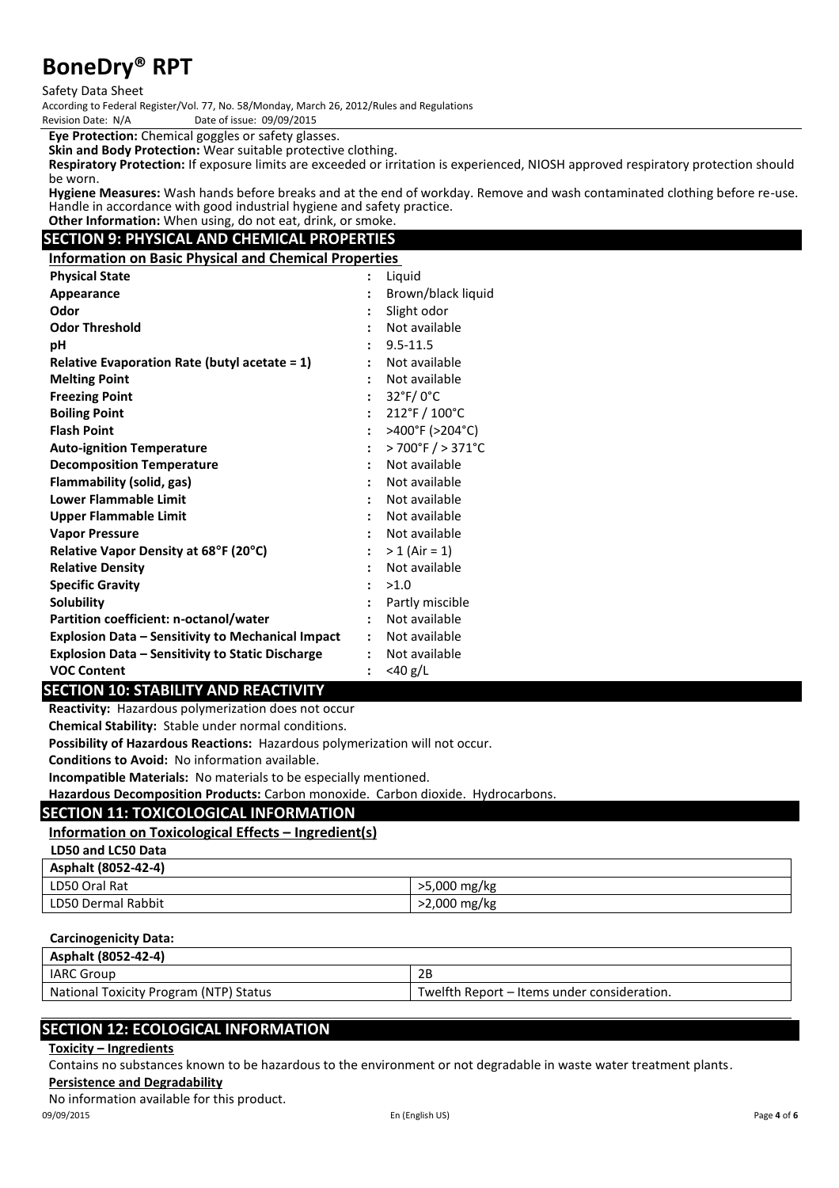Safety Data Sheet

According to Federal Register/Vol. 77, No. 58/Monday, March 26, 2012/Rules and Regulations Date of issue: 09/09/2015

**Eye Protection:** Chemical goggles or safety glasses.

**Skin and Body Protection:** Wear suitable protective clothing.

**Respiratory Protection:** If exposure limits are exceeded or irritation is experienced, NIOSH approved respiratory protection should be worn.

**Hygiene Measures:** Wash hands before breaks and at the end of workday. Remove and wash contaminated clothing before re-use. Handle in accordance with good industrial hygiene and safety practice. **Other Information:** When using, do not eat, drink, or smoke.

# **SECTION 9: PHYSICAL AND CHEMICAL PROPERTIES**

**Information on Basic Physical and Chemical Properties**

| <b>Physical State</b>                                    | $\ddot{\cdot}$       | Liquid                               |
|----------------------------------------------------------|----------------------|--------------------------------------|
| Appearance                                               |                      | Brown/black liquid                   |
| Odor                                                     | $\ddot{\cdot}$       | Slight odor                          |
| <b>Odor Threshold</b>                                    | $\ddot{\cdot}$       | Not available                        |
| рH                                                       |                      | $9.5 - 11.5$                         |
| <b>Relative Evaporation Rate (butyl acetate = 1)</b>     |                      | Not available                        |
| <b>Melting Point</b>                                     |                      | Not available                        |
| <b>Freezing Point</b>                                    |                      | $32^{\circ}$ F/0 $^{\circ}$ C        |
| <b>Boiling Point</b>                                     | $\ddot{\cdot}$       | 212°F / 100°C                        |
| <b>Flash Point</b>                                       | $\ddot{\cdot}$       | >400°F (>204°C)                      |
| <b>Auto-ignition Temperature</b>                         | $\ddot{\phantom{a}}$ | $>700^{\circ}$ F $/ > 371^{\circ}$ C |
| <b>Decomposition Temperature</b>                         | $\cdot$              | Not available                        |
| Flammability (solid, gas)                                |                      | Not available                        |
| <b>Lower Flammable Limit</b>                             |                      | Not available                        |
| <b>Upper Flammable Limit</b>                             |                      | Not available                        |
| <b>Vapor Pressure</b>                                    |                      | Not available                        |
| Relative Vapor Density at 68°F (20°C)                    | $\mathbf{L}$         | $> 1$ (Air = 1)                      |
| <b>Relative Density</b>                                  | $\ddot{\cdot}$       | Not available                        |
| <b>Specific Gravity</b>                                  | $\cdot$              | >1.0                                 |
| Solubility                                               |                      | Partly miscible                      |
| Partition coefficient: n-octanol/water                   | $\ddot{\cdot}$       | Not available                        |
| <b>Explosion Data - Sensitivity to Mechanical Impact</b> | $\ddot{\phantom{a}}$ | Not available                        |
| <b>Explosion Data - Sensitivity to Static Discharge</b>  | $\ddot{\cdot}$       | Not available                        |
| <b>VOC Content</b>                                       | $\ddot{\cdot}$       | $<$ 40 g/L                           |

### **SECTION 10: STABILITY AND REACTIVITY**

**Reactivity:** Hazardous polymerization does not occur

**Chemical Stability:** Stable under normal conditions.

**Possibility of Hazardous Reactions:** Hazardous polymerization will not occur.

**Conditions to Avoid:** No information available.

**Incompatible Materials:** No materials to be especially mentioned.

**Hazardous Decomposition Products:** Carbon monoxide. Carbon dioxide. Hydrocarbons.

## **SECTION 11: TOXICOLOGICAL INFORMATION**

# **Information on Toxicological Effects – Ingredient(s)**

**LD50 and LC50 Data**

| Asphalt (8052-42-4) |              |
|---------------------|--------------|
| LD50 Oral Rat       | >5,000 mg/kg |
| LD50 Dermal Rabbit  | >2,000 mg/kg |

### **Carcinogenicity Data:**

| Asphalt (8052-42-4)                    |                                             |
|----------------------------------------|---------------------------------------------|
| <b>IARC Group</b>                      | 2B                                          |
| National Toxicity Program (NTP) Status | Twelfth Report – Items under consideration. |

# **SECTION 12: ECOLOGICAL INFORMATION**

### **Toxicity – Ingredients**

Contains no substances known to be hazardous to the environment or not degradable in waste water treatment plants.

**Persistence and Degradability**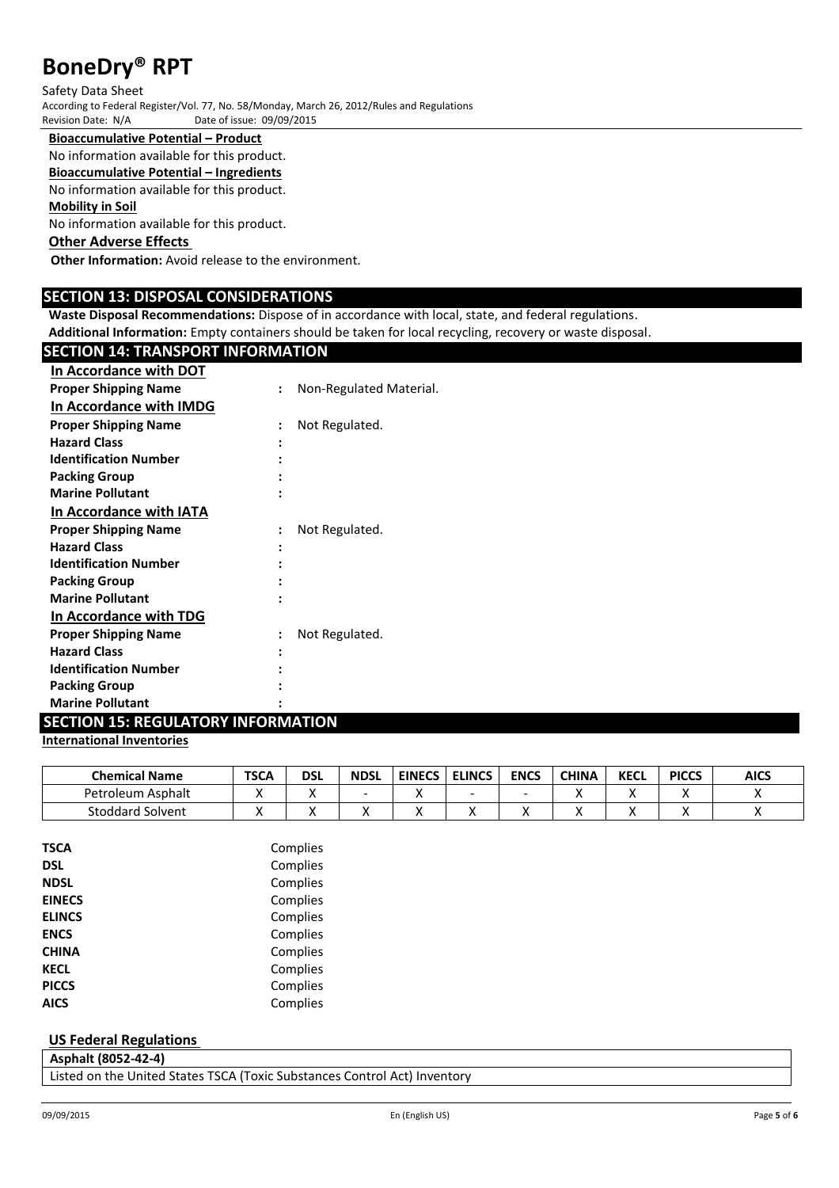#### Safety Data Sheet

According to Federal Register/Vol. 77, No. 58/Monday, March 26, 2012/Rules and Regulations Date of issue: 09/09/2015

**Bioaccumulative Potential – Product**

No information available for this product.

# **Bioaccumulative Potential – Ingredients**

No information available for this product.

## **Mobility in Soil**

No information available for this product.

# **Other Adverse Effects**

**Other Information:** Avoid release to the environment.

### **SECTION 13: DISPOSAL CONSIDERATIONS**

**Waste Disposal Recommendations:** Dispose of in accordance with local, state, and federal regulations.

**Additional Information:** Empty containers should be taken for local recycling, recovery or waste disposal.

# **SECTION 14: TRANSPORT INFORMATION**

| In Accordance with DOT         |                      |                         |
|--------------------------------|----------------------|-------------------------|
| <b>Proper Shipping Name</b>    |                      | Non-Regulated Material. |
| In Accordance with IMDG        |                      |                         |
| <b>Proper Shipping Name</b>    |                      | Not Regulated.          |
| <b>Hazard Class</b>            |                      |                         |
| <b>Identification Number</b>   |                      |                         |
| <b>Packing Group</b>           |                      |                         |
| <b>Marine Pollutant</b>        |                      |                         |
| <b>In Accordance with IATA</b> |                      |                         |
| <b>Proper Shipping Name</b>    | $\ddot{\phantom{a}}$ | Not Regulated.          |
| <b>Hazard Class</b>            |                      |                         |
| <b>Identification Number</b>   |                      |                         |
| <b>Packing Group</b>           |                      |                         |
| <b>Marine Pollutant</b>        |                      |                         |
| In Accordance with TDG         |                      |                         |
| <b>Proper Shipping Name</b>    | :                    | Not Regulated.          |
| <b>Hazard Class</b>            |                      |                         |
| <b>Identification Number</b>   |                      |                         |
| <b>Packing Group</b>           |                      |                         |
| <b>Marine Pollutant</b>        |                      |                         |

# **SECTION 15: REGULATORY INFORMATION**

### **International Inventories**

| <b>Chemical Name</b>    | <b>TSCA</b> | DSL | <b>NDSL</b> | <b>EINECS</b> | <b>ELINCS</b> | <b>ENCS</b> | <b>CHINA</b> | <b>KECL</b> | <b>PICCS</b> | <b>AICS</b> |
|-------------------------|-------------|-----|-------------|---------------|---------------|-------------|--------------|-------------|--------------|-------------|
| Petroleum<br>i Asphalt  |             |     |             |               | -             |             |              |             |              |             |
| <b>Stoddard Solvent</b> |             |     |             |               |               |             |              |             |              |             |

| TSCA          | Complies |
|---------------|----------|
| DSL           | Complies |
| <b>NDSL</b>   | Complies |
| <b>EINECS</b> | Complies |
| <b>ELINCS</b> | Complies |
| <b>ENCS</b>   | Complies |
| CHINA         | Complies |
| <b>KECL</b>   | Complies |
| <b>PICCS</b>  | Complies |
| AICS          | Complies |
|               |          |

### **US Federal Regulations**

|  | Asphalt (8052-42-4) |                                                                                                                 |  |
|--|---------------------|-----------------------------------------------------------------------------------------------------------------|--|
|  |                     | the contract of the contract of the contract of the contract of the contract of the contract of the contract of |  |

Listed on the United States TSCA (Toxic Substances Control Act) Inventory